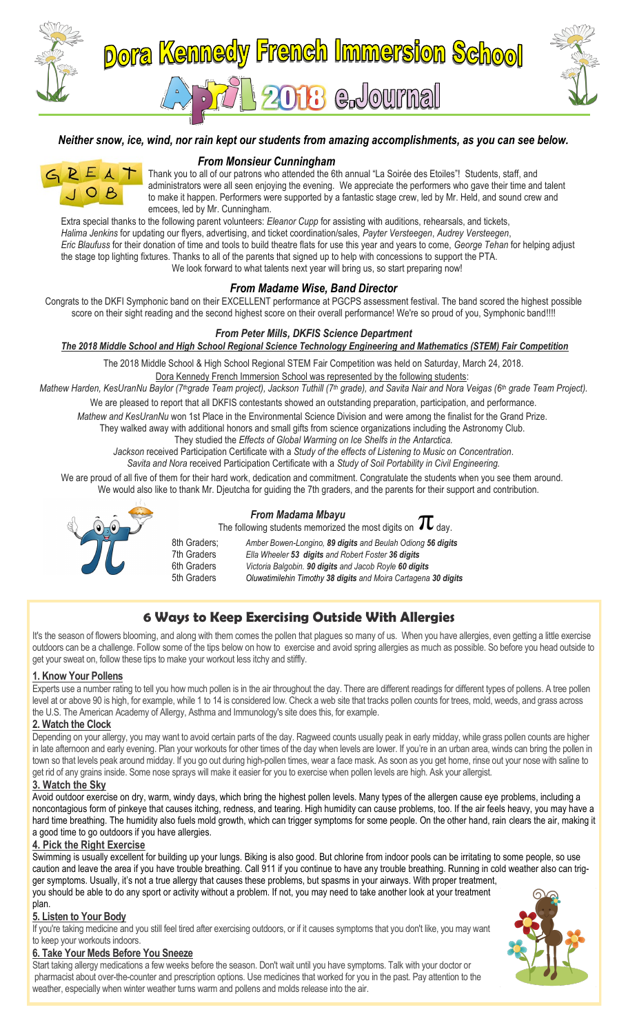

### *Neither snow, ice, wind, nor rain kept our students from amazing accomplishments, as you can see below.*



**From Monsieur Cunningham**<br>Thank you to all of our patrons who attended the 61 Thank you to all of our patrons who attended the 6th annual "La Soirée des Etoiles"! Students, staff, and administrators were all seen enjoying the evening. We appreciate the performers who gave their time and talent to make it bannen. Performers were supported by a fantastic stage crew, led by Mr. Held, and sound crew and to make it happen. Performers were supported by a fantastic stage crew, led by Mr. Held, and sound crew and emcees, led by Mr. Cunningham.

Extra special thanks to the following parent volunteers: *Eleanor Cupp* for assisting with auditions, rehearsals, and tickets, *Halima Jenkins* for updating our flyers, advertising, and ticket coordination/sales, *Payter Versteegen*, *Audrey Versteegen*, *Eric Blaufuss* for their donation of time and tools to build theatre flats for use this year and years to come, *George Tehan* for helping adjust the stage top lighting fixtures. Thanks to all of the parents that signed up to help with concessions to support the PTA. We look forward to what talents next year will bring us, so start preparing now!

## *From Madame Wise, Band Director*

Congrats to the DKFI Symphonic band on their EXCELLENT performance at PGCPS assessment festival. The band scored the highest possible score on their sight reading and the second highest score on their overall performance! We're so proud of you, Symphonic band!!!!

### *From Peter Mills, DKFIS Science Department*

*The 2018 Middle School and High School Regional Science Technology Engineering and Mathematics (STEM) Fair Competition*

The 2018 Middle School & High School Regional STEM Fair Competition was held on Saturday, March 24, 2018. Dora Kennedy French Immersion School was represented by the following students:

*Mathew Harden, KesUranNu Baylor (7thgrade Team project), Jackson Tuthill (7th grade), and Savita Nair and Nora Veigas (6th grade Team Project).*

We are pleased to report that all DKFIS contestants showed an outstanding preparation, participation, and performance.

*Mathew and KesUranNu* won 1st Place in the Environmental Science Division and were among the finalist for the Grand Prize.

They walked away with additional honors and small gifts from science organizations including the Astronomy Club.

They studied the *Effects of Global Warming on Ice Shelfs in the Antarctica.*

*Jackson* received Participation Certificate with a *Study of the effects of Listening to Music on Concentration*.

*Savita and Nora* received Participation Certificate with a *Study of Soil Portability in Civil Engineering.*

We are proud of all five of them for their hard work, dedication and commitment. Congratulate the students when you see them around. We would also like to thank Mr. Djeutcha for guiding the 7th graders, and the parents for their support and contribution.



### *From Madama Mbayu*

The following students memorized the most digits on  $\pi$  day. 8th Graders; *Amber Bowen-Longino, 89 digits and Beulah Odiong 56 digits* 7th Graders *Ella Wheeler 53 digits and Robert Foster 36 digits* 6th Graders *Victoria Balgobin. 90 digits and Jacob Royle 60 digits* 5th Graders *Oluwatimilehin Timothy 38 digits and Moira Cartagena 30 digits*

# **6 Ways to Keep Exercising Outside With Allergies**

It's the season of flowers blooming, and along with them comes the pollen that plagues so many of us. When you have allergies, even getting a little exercise outdoors can be a challenge. Follow some of the tips below on how to exercise and avoid spring allergies as much as possible. So before you head outside to get your sweat on, follow these tips to make your workout less itchy and stiffly.

### **1. Know Your Pollens**

Experts use a number rating to tell you how much pollen is in the air throughout the day. There are different readings for different types of pollens. A tree pollen level at or above 90 is high, for example, while 1 to 14 is considered low. Check a web site that tracks pollen counts for trees, mold, weeds, and grass across the U.S. The American Academy of Allergy, Asthma and Immunology's site does this, for example.

### **2. Watch the Clock**

Depending on your allergy, you may want to avoid certain parts of the day. Ragweed counts usually peak in early midday, while grass pollen counts are higher in late afternoon and early evening. Plan your workouts for other times of the day when levels are lower. If you're in an urban area, winds can bring the pollen in town so that levels peak around midday. If you go out during high-pollen times, wear a face mask. As soon as you get home, rinse out your nose with saline to get rid of any grains inside. Some nose sprays will make it easier for you to exercise when pollen levels are high. Ask your allergist.

### **3. Watch the Sky**

Avoid outdoor exercise on dry, warm, windy days, which bring the highest pollen levels. Many types of the allergen cause eye problems, including a noncontagious form of pinkeye that causes itching, redness, and tearing. High humidity can cause problems, too. If the air feels heavy, you may have a hard time breathing. The humidity also fuels mold growth, which can trigger symptoms for some people. On the other hand, rain clears the air, making it a good time to go outdoors if you have allergies.

### **4. Pick the Right Exercise**

Swimming is usually excellent for building up your lungs. Biking is also good. But chlorine from indoor pools can be irritating to some people, so use caution and leave the area if you have trouble breathing. Call 911 if you continue to have any trouble breathing. Running in cold weather also can trigger symptoms. Usually, it's not a true allergy that causes these problems, but spasms in your airways. With proper treatment, you should be able to do any sport or activity without a problem. If not, you may need to take another look at your treatment

#### plan. **5. Listen to Your Body**

If you're taking medicine and you still feel tired after exercising outdoors, or if it causes symptoms that you don't like, you may want to keep your workouts indoors.

### **6. Take Your Meds Before You Sneeze**

Start taking allergy medications a few weeks before the season. Don't wait until you have symptoms. Talk with your doctor or pharmacist about over-the-counter and prescription options. Use medicines that worked for you in the past. Pay attention to the weather, especially when winter weather turns warm and pollens and molds release into the air.